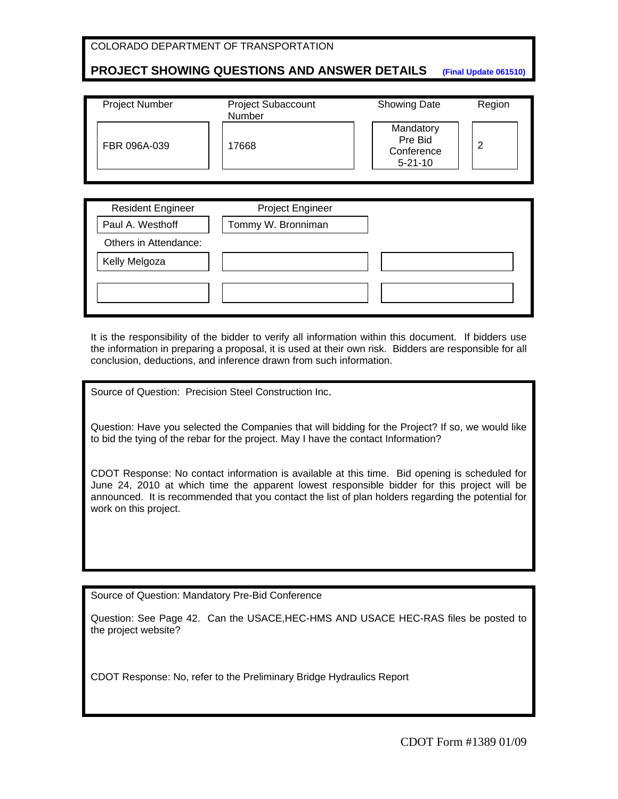# **PROJECT SHOWING QUESTIONS AND ANSWER DETAILS (Final Update 061510)**

| <b>Project Number</b> | <b>Project Subaccount</b><br>Number | <b>Showing Date</b>                                 | Region |
|-----------------------|-------------------------------------|-----------------------------------------------------|--------|
| FBR 096A-039          | 17668                               | Mandatory<br>Pre Bid<br>Conference<br>$5 - 21 - 10$ | 2      |

| <b>Resident Engineer</b> | <b>Project Engineer</b> |  |
|--------------------------|-------------------------|--|
| Paul A. Westhoff         | Tommy W. Bronniman      |  |
| Others in Attendance:    |                         |  |
| Kelly Melgoza            |                         |  |
|                          |                         |  |
|                          |                         |  |

It is the responsibility of the bidder to verify all information within this document. If bidders use the information in preparing a proposal, it is used at their own risk. Bidders are responsible for all conclusion, deductions, and inference drawn from such information.

Source of Question: Precision Steel Construction Inc.

Question: Have you selected the Companies that will bidding for the Project? If so, we would like to bid the tying of the rebar for the project. May I have the contact Information?

CDOT Response: No contact information is available at this time. Bid opening is scheduled for June 24, 2010 at which time the apparent lowest responsible bidder for this project will be announced. It is recommended that you contact the list of plan holders regarding the potential for work on this project.

Source of Question: Mandatory Pre-Bid Conference

Question: See Page 42. Can the USACE,HEC-HMS AND USACE HEC-RAS files be posted to the project website?

CDOT Response: No, refer to the Preliminary Bridge Hydraulics Report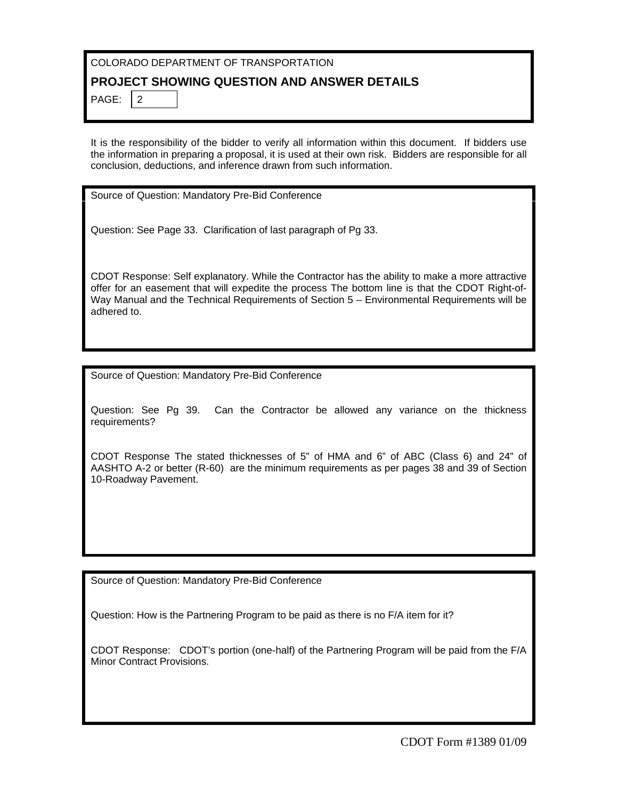#### **PROJECT SHOWING QUESTION AND ANSWER DETAILS**

PAGE:  $|2|$ 

It is the responsibility of the bidder to verify all information within this document. If bidders use the information in preparing a proposal, it is used at their own risk. Bidders are responsible for all conclusion, deductions, and inference drawn from such information.

Source of Question: Mandatory Pre-Bid Conference

Question: See Page 33. Clarification of last paragraph of Pg 33.

CDOT Response: Self explanatory. While the Contractor has the ability to make a more attractive offer for an easement that will expedite the process The bottom line is that the CDOT Right-of-Way Manual and the Technical Requirements of Section 5 – Environmental Requirements will be adhered to.

Source of Question: Mandatory Pre-Bid Conference

Question: See Pg 39. Can the Contractor be allowed any variance on the thickness requirements?

CDOT Response The stated thicknesses of 5" of HMA and 6" of ABC (Class 6) and 24" of AASHTO A-2 or better (R-60) are the minimum requirements as per pages 38 and 39 of Section 10-Roadway Pavement.

Source of Question: Mandatory Pre-Bid Conference

Question: How is the Partnering Program to be paid as there is no F/A item for it?

CDOT Response: CDOT's portion (one-half) of the Partnering Program will be paid from the F/A Minor Contract Provisions.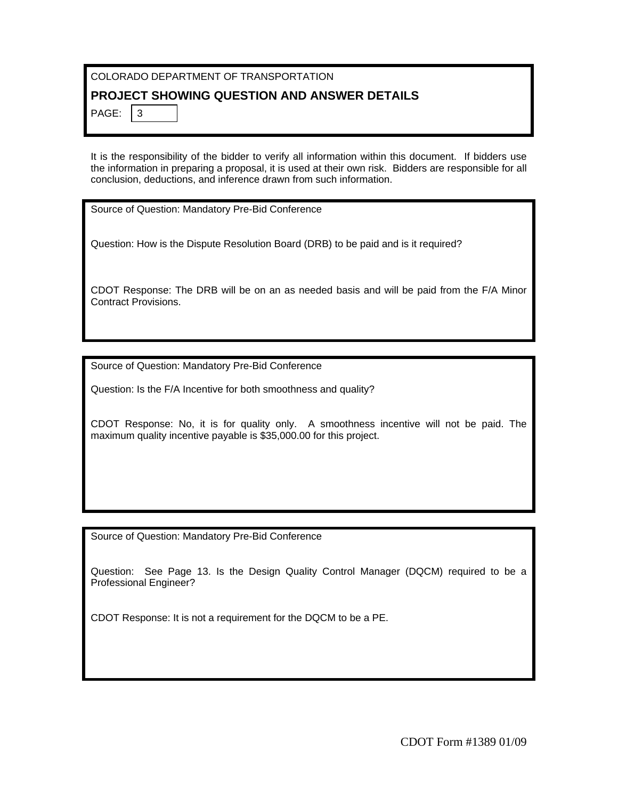### **PROJECT SHOWING QUESTION AND ANSWER DETAILS**

PAGE:  $|3$ 

It is the responsibility of the bidder to verify all information within this document. If bidders use the information in preparing a proposal, it is used at their own risk. Bidders are responsible for all conclusion, deductions, and inference drawn from such information.

Source of Question: Mandatory Pre-Bid Conference

Question: How is the Dispute Resolution Board (DRB) to be paid and is it required?

CDOT Response: The DRB will be on an as needed basis and will be paid from the F/A Minor Contract Provisions.

Source of Question: Mandatory Pre-Bid Conference

Question: Is the F/A Incentive for both smoothness and quality?

CDOT Response: No, it is for quality only. A smoothness incentive will not be paid. The maximum quality incentive payable is \$35,000.00 for this project.

Source of Question: Mandatory Pre-Bid Conference

Question: See Page 13. Is the Design Quality Control Manager (DQCM) required to be a Professional Engineer?

CDOT Response: It is not a requirement for the DQCM to be a PE.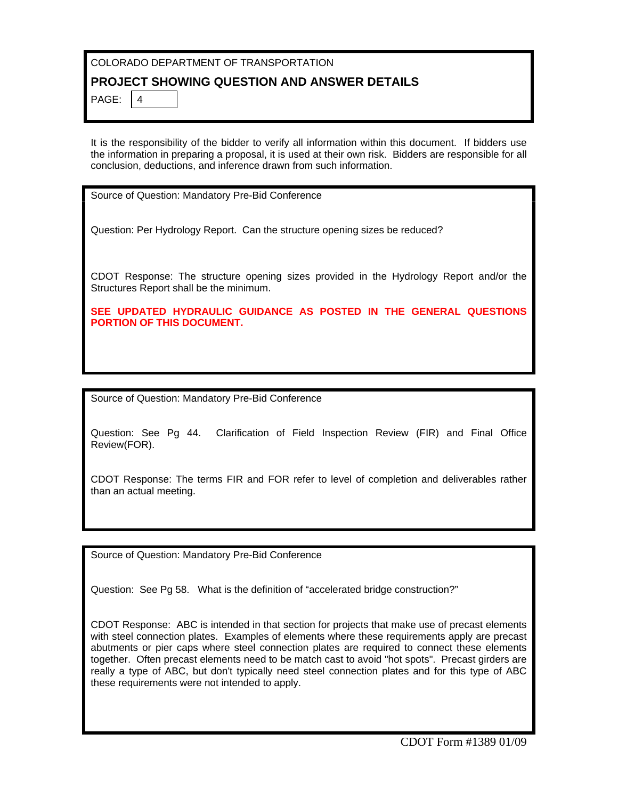# **PROJECT SHOWING QUESTION AND ANSWER DETAILS**

PAGE:  $|4$ 

It is the responsibility of the bidder to verify all information within this document. If bidders use the information in preparing a proposal, it is used at their own risk. Bidders are responsible for all conclusion, deductions, and inference drawn from such information.

Source of Question: Mandatory Pre-Bid Conference

Question: Per Hydrology Report. Can the structure opening sizes be reduced?

CDOT Response: The structure opening sizes provided in the Hydrology Report and/or the Structures Report shall be the minimum.

**SEE UPDATED HYDRAULIC GUIDANCE AS POSTED IN THE GENERAL QUESTIONS PORTION OF THIS DOCUMENT.** 

Source of Question: Mandatory Pre-Bid Conference

Question: See Pg 44. Clarification of Field Inspection Review (FIR) and Final Office Review(FOR).

CDOT Response: The terms FIR and FOR refer to level of completion and deliverables rather than an actual meeting.

Source of Question: Mandatory Pre-Bid Conference

Question: See Pg 58. What is the definition of "accelerated bridge construction?"

CDOT Response: ABC is intended in that section for projects that make use of precast elements with steel connection plates. Examples of elements where these requirements apply are precast abutments or pier caps where steel connection plates are required to connect these elements together. Often precast elements need to be match cast to avoid "hot spots". Precast girders are really a type of ABC, but don't typically need steel connection plates and for this type of ABC these requirements were not intended to apply.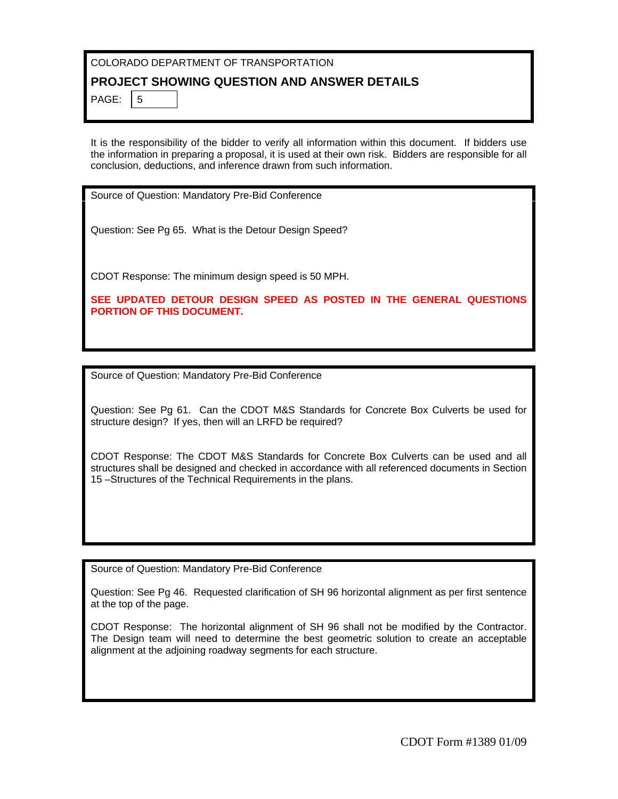#### **PROJECT SHOWING QUESTION AND ANSWER DETAILS**

PAGE:  $\frac{1}{5}$ 

It is the responsibility of the bidder to verify all information within this document. If bidders use the information in preparing a proposal, it is used at their own risk. Bidders are responsible for all conclusion, deductions, and inference drawn from such information.

Source of Question: Mandatory Pre-Bid Conference

Question: See Pg 65. What is the Detour Design Speed?

CDOT Response: The minimum design speed is 50 MPH.

**SEE UPDATED DETOUR DESIGN SPEED AS POSTED IN THE GENERAL QUESTIONS PORTION OF THIS DOCUMENT.** 

Source of Question: Mandatory Pre-Bid Conference

Question: See Pg 61. Can the CDOT M&S Standards for Concrete Box Culverts be used for structure design? If yes, then will an LRFD be required?

CDOT Response: The CDOT M&S Standards for Concrete Box Culverts can be used and all structures shall be designed and checked in accordance with all referenced documents in Section 15 –Structures of the Technical Requirements in the plans.

Source of Question: Mandatory Pre-Bid Conference

Question: See Pg 46. Requested clarification of SH 96 horizontal alignment as per first sentence at the top of the page.

CDOT Response: The horizontal alignment of SH 96 shall not be modified by the Contractor. The Design team will need to determine the best geometric solution to create an acceptable alignment at the adjoining roadway segments for each structure.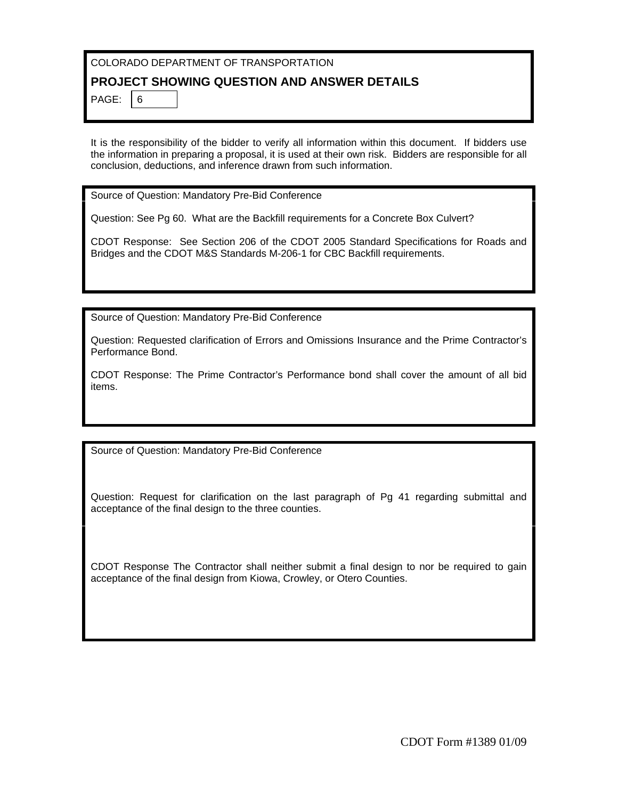#### **PROJECT SHOWING QUESTION AND ANSWER DETAILS**

PAGE:  $|6|$ 

It is the responsibility of the bidder to verify all information within this document. If bidders use the information in preparing a proposal, it is used at their own risk. Bidders are responsible for all conclusion, deductions, and inference drawn from such information.

Source of Question: Mandatory Pre-Bid Conference

Question: See Pg 60. What are the Backfill requirements for a Concrete Box Culvert?

CDOT Response: See Section 206 of the CDOT 2005 Standard Specifications for Roads and Bridges and the CDOT M&S Standards M-206-1 for CBC Backfill requirements.

Source of Question: Mandatory Pre-Bid Conference

Question: Requested clarification of Errors and Omissions Insurance and the Prime Contractor's Performance Bond.

CDOT Response: The Prime Contractor's Performance bond shall cover the amount of all bid items.

Source of Question: Mandatory Pre-Bid Conference

Question: Request for clarification on the last paragraph of Pg 41 regarding submittal and acceptance of the final design to the three counties.

CDOT Response The Contractor shall neither submit a final design to nor be required to gain acceptance of the final design from Kiowa, Crowley, or Otero Counties.

CDOT Form #1389 01/09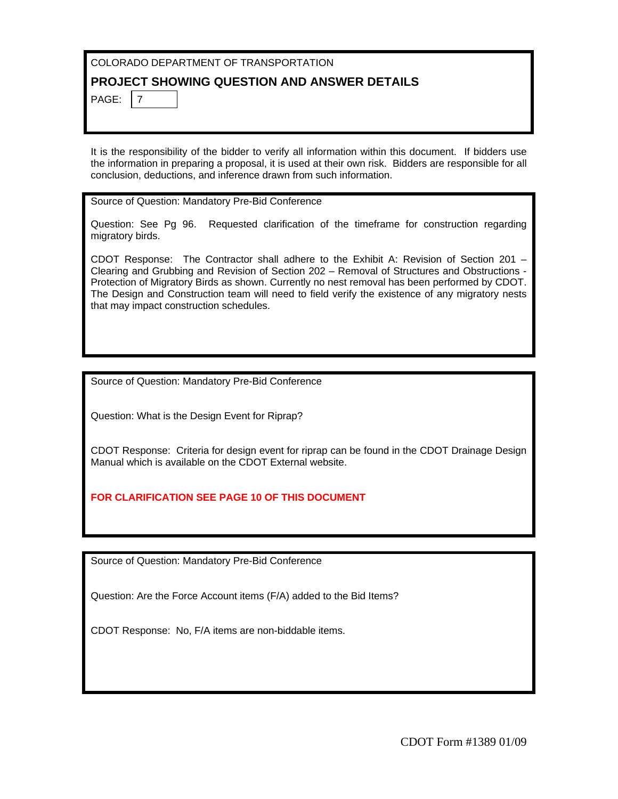#### **PROJECT SHOWING QUESTION AND ANSWER DETAILS**

PAGE:  $|7|$ 

It is the responsibility of the bidder to verify all information within this document. If bidders use the information in preparing a proposal, it is used at their own risk. Bidders are responsible for all conclusion, deductions, and inference drawn from such information.

Source of Question: Mandatory Pre-Bid Conference

Question: See Pg 96. Requested clarification of the timeframe for construction regarding migratory birds.

CDOT Response: The Contractor shall adhere to the Exhibit A: Revision of Section 201 – Clearing and Grubbing and Revision of Section 202 – Removal of Structures and Obstructions - Protection of Migratory Birds as shown. Currently no nest removal has been performed by CDOT. The Design and Construction team will need to field verify the existence of any migratory nests that may impact construction schedules.

Source of Question: Mandatory Pre-Bid Conference

Question: What is the Design Event for Riprap?

CDOT Response: Criteria for design event for riprap can be found in the CDOT Drainage Design Manual which is available on the CDOT External website.

#### **FOR CLARIFICATION SEE PAGE 10 OF THIS DOCUMENT**

Source of Question: Mandatory Pre-Bid Conference

Question: Are the Force Account items (F/A) added to the Bid Items?

CDOT Response: No, F/A items are non-biddable items.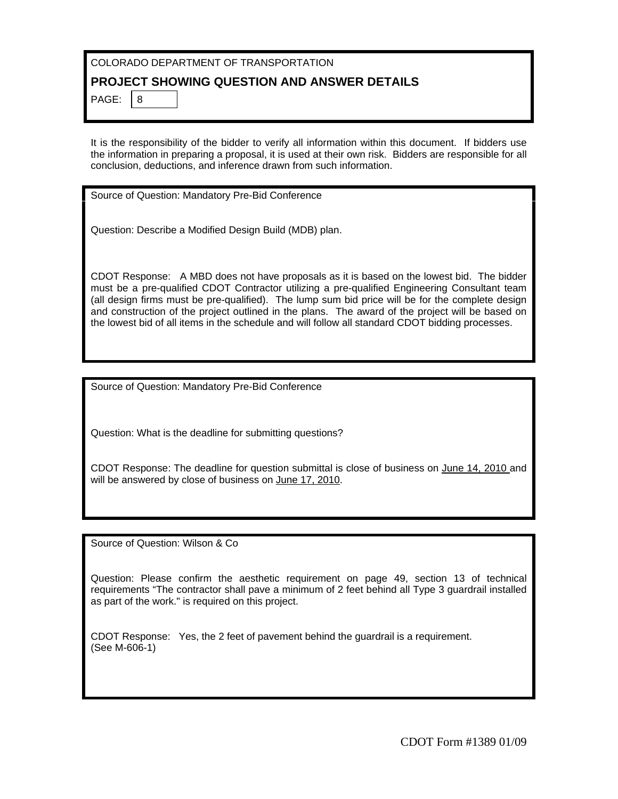# **PROJECT SHOWING QUESTION AND ANSWER DETAILS**

PAGE:  $8$ 

It is the responsibility of the bidder to verify all information within this document. If bidders use the information in preparing a proposal, it is used at their own risk. Bidders are responsible for all conclusion, deductions, and inference drawn from such information.

Source of Question: Mandatory Pre-Bid Conference

Question: Describe a Modified Design Build (MDB) plan.

CDOT Response: A MBD does not have proposals as it is based on the lowest bid. The bidder must be a pre-qualified CDOT Contractor utilizing a pre-qualified Engineering Consultant team (all design firms must be pre-qualified). The lump sum bid price will be for the complete design and construction of the project outlined in the plans. The award of the project will be based on the lowest bid of all items in the schedule and will follow all standard CDOT bidding processes.

Source of Question: Mandatory Pre-Bid Conference

Question: What is the deadline for submitting questions?

CDOT Response: The deadline for question submittal is close of business on June 14, 2010 and will be answered by close of business on June 17, 2010.

Source of Question: Wilson & Co

Question: Please confirm the aesthetic requirement on page 49, section 13 of technical requirements "The contractor shall pave a minimum of 2 feet behind all Type 3 guardrail installed as part of the work." is required on this project.

CDOT Response: Yes, the 2 feet of pavement behind the guardrail is a requirement. (See M-606-1)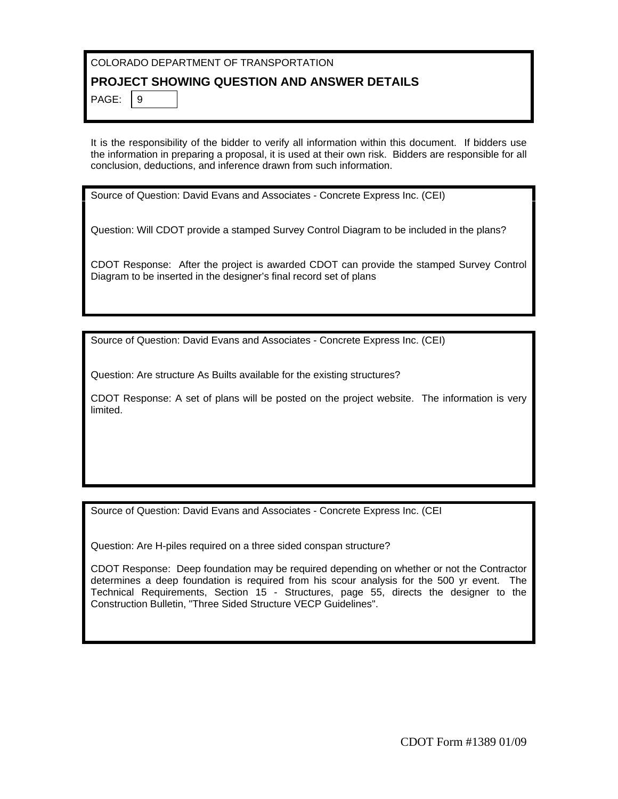#### **PROJECT SHOWING QUESTION AND ANSWER DETAILS**

PAGE:  $\vert 9 \vert$ 

It is the responsibility of the bidder to verify all information within this document. If bidders use the information in preparing a proposal, it is used at their own risk. Bidders are responsible for all conclusion, deductions, and inference drawn from such information.

Source of Question: David Evans and Associates - Concrete Express Inc. (CEI)

Question: Will CDOT provide a stamped Survey Control Diagram to be included in the plans?

CDOT Response: After the project is awarded CDOT can provide the stamped Survey Control Diagram to be inserted in the designer's final record set of plans

Source of Question: David Evans and Associates - Concrete Express Inc. (CEI)

Question: Are structure As Builts available for the existing structures?

CDOT Response: A set of plans will be posted on the project website. The information is very limited.

Source of Question: David Evans and Associates - Concrete Express Inc. (CEI

Question: Are H-piles required on a three sided conspan structure?

CDOT Response: Deep foundation may be required depending on whether or not the Contractor determines a deep foundation is required from his scour analysis for the 500 yr event. The Technical Requirements, Section 15 - Structures, page 55, directs the designer to the Construction Bulletin, "Three Sided Structure VECP Guidelines".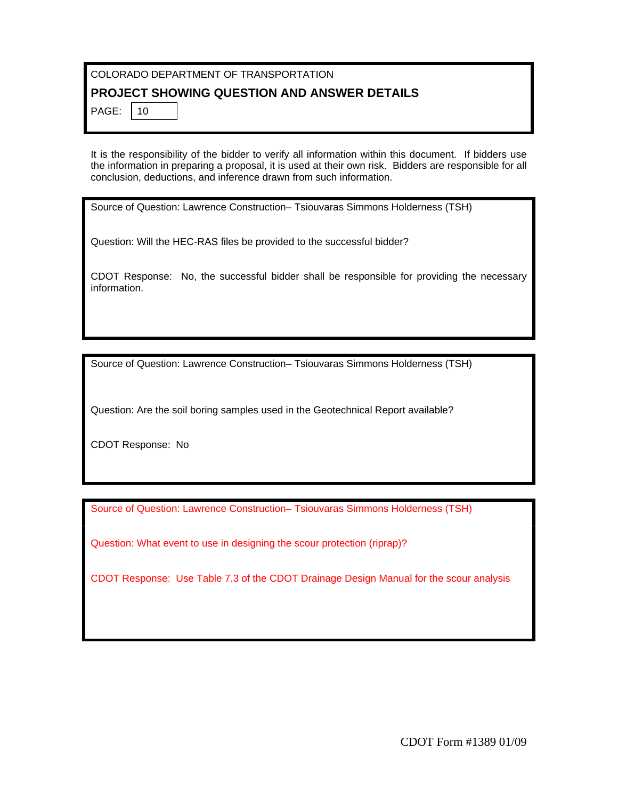# **PROJECT SHOWING QUESTION AND ANSWER DETAILS**

| PAGI |  |
|------|--|
|      |  |

It is the responsibility of the bidder to verify all information within this document. If bidders use the information in preparing a proposal, it is used at their own risk. Bidders are responsible for all conclusion, deductions, and inference drawn from such information.

Source of Question: Lawrence Construction– Tsiouvaras Simmons Holderness (TSH)

Question: Will the HEC-RAS files be provided to the successful bidder?

CDOT Response: No, the successful bidder shall be responsible for providing the necessary information.

Source of Question: Lawrence Construction– Tsiouvaras Simmons Holderness (TSH)

Question: Are the soil boring samples used in the Geotechnical Report available?

CDOT Response: No

Source of Question: Lawrence Construction– Tsiouvaras Simmons Holderness (TSH)

Question: What event to use in designing the scour protection (riprap)?

CDOT Response: Use Table 7.3 of the CDOT Drainage Design Manual for the scour analysis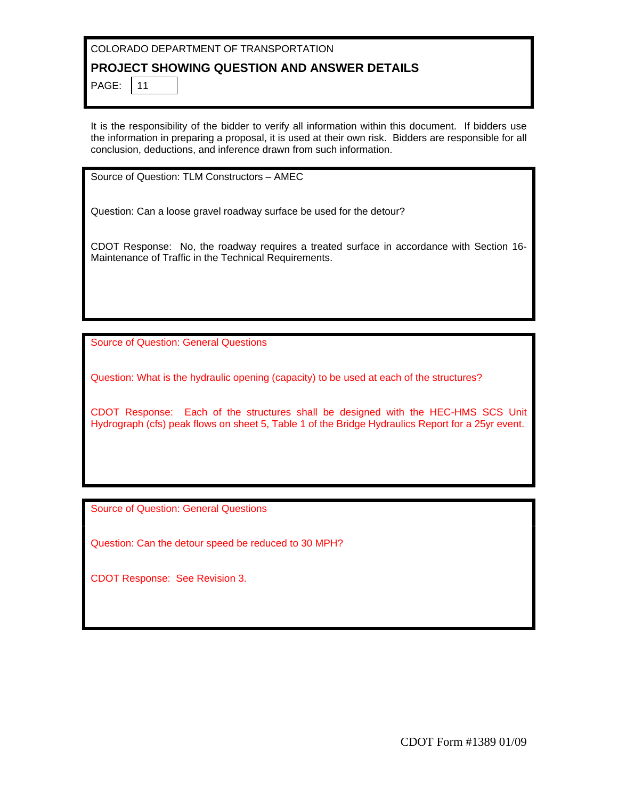#### **PROJECT SHOWING QUESTION AND ANSWER DETAILS**

PAGE: 11

It is the responsibility of the bidder to verify all information within this document. If bidders use the information in preparing a proposal, it is used at their own risk. Bidders are responsible for all conclusion, deductions, and inference drawn from such information.

Source of Question: TLM Constructors – AMEC

Question: Can a loose gravel roadway surface be used for the detour?

CDOT Response: No, the roadway requires a treated surface in accordance with Section 16- Maintenance of Traffic in the Technical Requirements.

Source of Question: General Questions

Question: What is the hydraulic opening (capacity) to be used at each of the structures?

CDOT Response: Each of the structures shall be designed with the HEC-HMS SCS Unit Hydrograph (cfs) peak flows on sheet 5, Table 1 of the Bridge Hydraulics Report for a 25yr event.

Source of Question: General Questions

Question: Can the detour speed be reduced to 30 MPH?

CDOT Response: See Revision 3.

CDOT Form #1389 01/09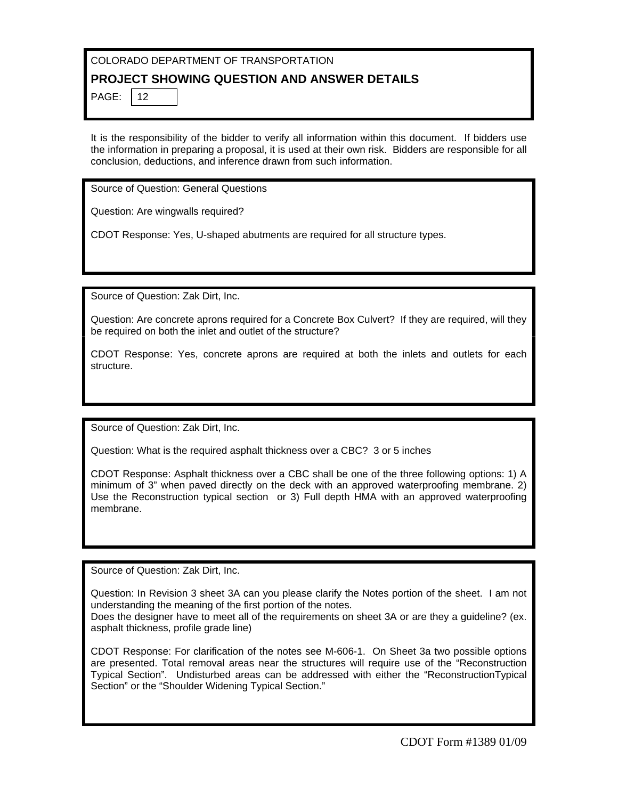# **PROJECT SHOWING QUESTION AND ANSWER DETAILS**

| PAG |  |
|-----|--|
|     |  |

It is the responsibility of the bidder to verify all information within this document. If bidders use the information in preparing a proposal, it is used at their own risk. Bidders are responsible for all conclusion, deductions, and inference drawn from such information.

Source of Question: General Questions

Question: Are wingwalls required?

CDOT Response: Yes, U-shaped abutments are required for all structure types.

Source of Question: Zak Dirt, Inc.

Question: Are concrete aprons required for a Concrete Box Culvert? If they are required, will they be required on both the inlet and outlet of the structure?

CDOT Response: Yes, concrete aprons are required at both the inlets and outlets for each structure.

Source of Question: Zak Dirt, Inc.

Question: What is the required asphalt thickness over a CBC? 3 or 5 inches

CDOT Response: Asphalt thickness over a CBC shall be one of the three following options: 1) A minimum of 3" when paved directly on the deck with an approved waterproofing membrane. 2) Use the Reconstruction typical section or 3) Full depth HMA with an approved waterproofing membrane.

Source of Question: Zak Dirt, Inc.

Question: In Revision 3 sheet 3A can you please clarify the Notes portion of the sheet. I am not understanding the meaning of the first portion of the notes.

Does the designer have to meet all of the requirements on sheet 3A or are they a guideline? (ex. asphalt thickness, profile grade line)

CDOT Response: For clarification of the notes see M-606-1. On Sheet 3a two possible options are presented. Total removal areas near the structures will require use of the "Reconstruction Typical Section". Undisturbed areas can be addressed with either the "ReconstructionTypical Section" or the "Shoulder Widening Typical Section."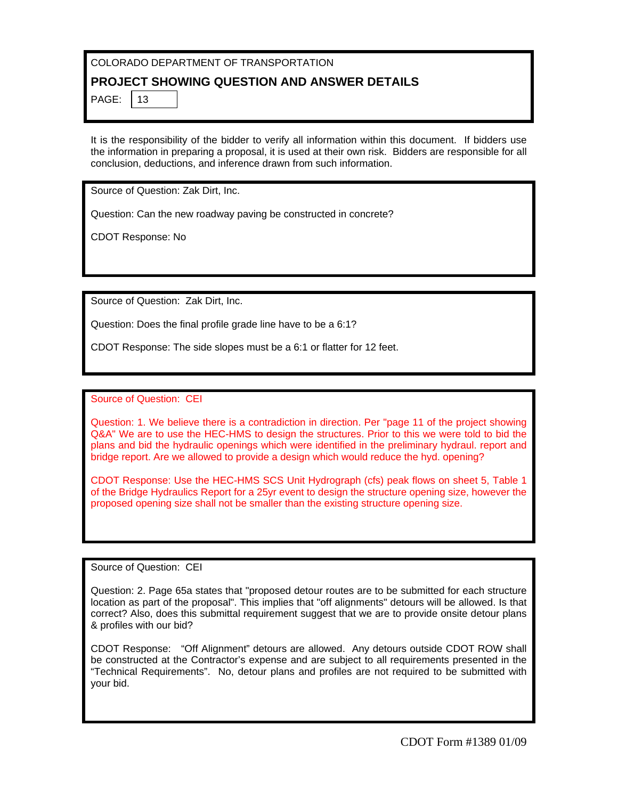# **PROJECT SHOWING QUESTION AND ANSWER DETAILS**

PAGE:  $|13$ 

It is the responsibility of the bidder to verify all information within this document. If bidders use the information in preparing a proposal, it is used at their own risk. Bidders are responsible for all conclusion, deductions, and inference drawn from such information.

Source of Question: Zak Dirt, Inc.

Question: Can the new roadway paving be constructed in concrete?

CDOT Response: No

Source of Question: Zak Dirt, Inc.

Question: Does the final profile grade line have to be a 6:1?

CDOT Response: The side slopes must be a 6:1 or flatter for 12 feet.

Source of Question: CEI

Question: 1. We believe there is a contradiction in direction. Per "page 11 of the project showing Q&A" We are to use the HEC-HMS to design the structures. Prior to this we were told to bid the plans and bid the hydraulic openings which were identified in the preliminary hydraul. report and bridge report. Are we allowed to provide a design which would reduce the hyd. opening?

CDOT Response: Use the HEC-HMS SCS Unit Hydrograph (cfs) peak flows on sheet 5, Table 1 of the Bridge Hydraulics Report for a 25yr event to design the structure opening size, however the proposed opening size shall not be smaller than the existing structure opening size.

Source of Question: CEI

Question: 2. Page 65a states that "proposed detour routes are to be submitted for each structure location as part of the proposal". This implies that "off alignments" detours will be allowed. Is that correct? Also, does this submittal requirement suggest that we are to provide onsite detour plans & profiles with our bid?

CDOT Response: "Off Alignment" detours are allowed. Any detours outside CDOT ROW shall be constructed at the Contractor's expense and are subject to all requirements presented in the "Technical Requirements". No, detour plans and profiles are not required to be submitted with your bid.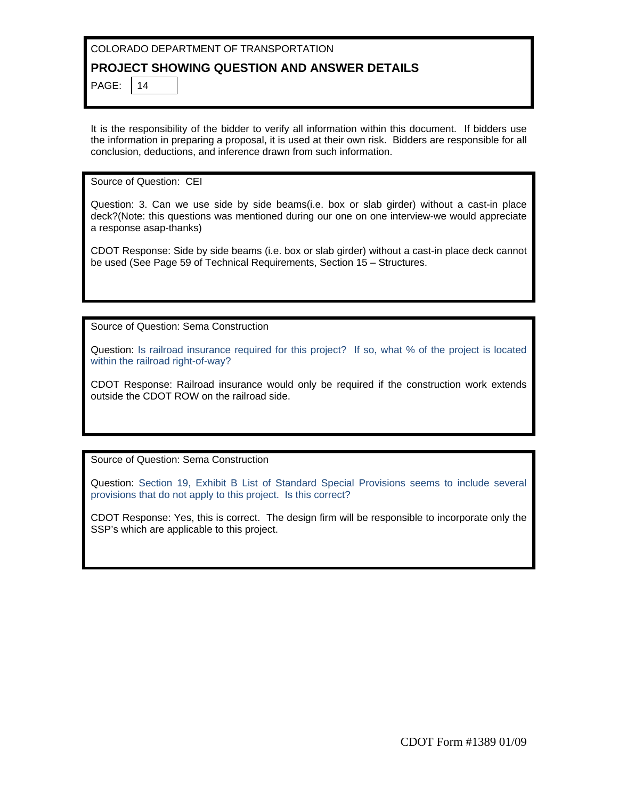## **PROJECT SHOWING QUESTION AND ANSWER DETAILS**

PAGE:  $|14|$ 

It is the responsibility of the bidder to verify all information within this document. If bidders use the information in preparing a proposal, it is used at their own risk. Bidders are responsible for all conclusion, deductions, and inference drawn from such information.

Source of Question: CEI

Question: 3. Can we use side by side beams(i.e. box or slab girder) without a cast-in place deck?(Note: this questions was mentioned during our one on one interview-we would appreciate a response asap-thanks)

CDOT Response: Side by side beams (i.e. box or slab girder) without a cast-in place deck cannot be used (See Page 59 of Technical Requirements, Section 15 – Structures.

Source of Question: Sema Construction

Question: Is railroad insurance required for this project? If so, what % of the project is located within the railroad right-of-way?

CDOT Response: Railroad insurance would only be required if the construction work extends outside the CDOT ROW on the railroad side.

Source of Question: Sema Construction

Question: Section 19, Exhibit B List of Standard Special Provisions seems to include several provisions that do not apply to this project. Is this correct?

CDOT Response: Yes, this is correct. The design firm will be responsible to incorporate only the SSP's which are applicable to this project.